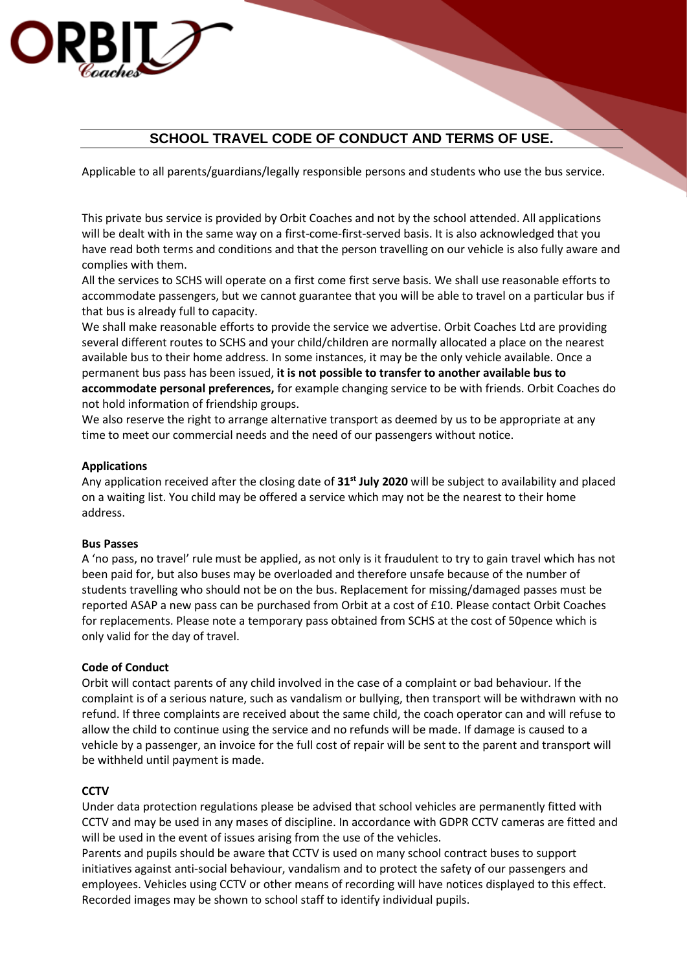# **SCHOOL TRAVEL CODE OF CONDUCT AND TERMS OF USE.**

Applicable to all parents/guardians/legally responsible persons and students who use the bus service.

This private bus service is provided by Orbit Coaches and not by the school attended. All applications will be dealt with in the same way on a first-come-first-served basis. It is also acknowledged that you have read both terms and conditions and that the person travelling on our vehicle is also fully aware and complies with them.

All the services to SCHS will operate on a first come first serve basis. We shall use reasonable efforts to accommodate passengers, but we cannot guarantee that you will be able to travel on a particular bus if that bus is already full to capacity.

We shall make reasonable efforts to provide the service we advertise. Orbit Coaches Ltd are providing several different routes to SCHS and your child/children are normally allocated a place on the nearest available bus to their home address. In some instances, it may be the only vehicle available. Once a permanent bus pass has been issued, **it is not possible to transfer to another available bus to accommodate personal preferences,** for example changing service to be with friends. Orbit Coaches do not hold information of friendship groups.

We also reserve the right to arrange alternative transport as deemed by us to be appropriate at any time to meet our commercial needs and the need of our passengers without notice.

## **Applications**

1830

Any application received after the closing date of **31st July 2020** will be subject to availability and placed on a waiting list. You child may be offered a service which may not be the nearest to their home address.

#### **Bus Passes**

A 'no pass, no travel' rule must be applied, as not only is it fraudulent to try to gain travel which has not been paid for, but also buses may be overloaded and therefore unsafe because of the number of students travelling who should not be on the bus. Replacement for missing/damaged passes must be reported ASAP a new pass can be purchased from Orbit at a cost of £10. Please contact Orbit Coaches for replacements. Please note a temporary pass obtained from SCHS at the cost of 50pence which is only valid for the day of travel.

#### **Code of Conduct**

Orbit will contact parents of any child involved in the case of a complaint or bad behaviour. If the complaint is of a serious nature, such as vandalism or bullying, then transport will be withdrawn with no refund. If three complaints are received about the same child, the coach operator can and will refuse to allow the child to continue using the service and no refunds will be made. If damage is caused to a vehicle by a passenger, an invoice for the full cost of repair will be sent to the parent and transport will be withheld until payment is made.

#### **CCTV**

Under data protection regulations please be advised that school vehicles are permanently fitted with CCTV and may be used in any mases of discipline. In accordance with GDPR CCTV cameras are fitted and will be used in the event of issues arising from the use of the vehicles.

Parents and pupils should be aware that CCTV is used on many school contract buses to support initiatives against anti-social behaviour, vandalism and to protect the safety of our passengers and employees. Vehicles using CCTV or other means of recording will have notices displayed to this effect. Recorded images may be shown to school staff to identify individual pupils.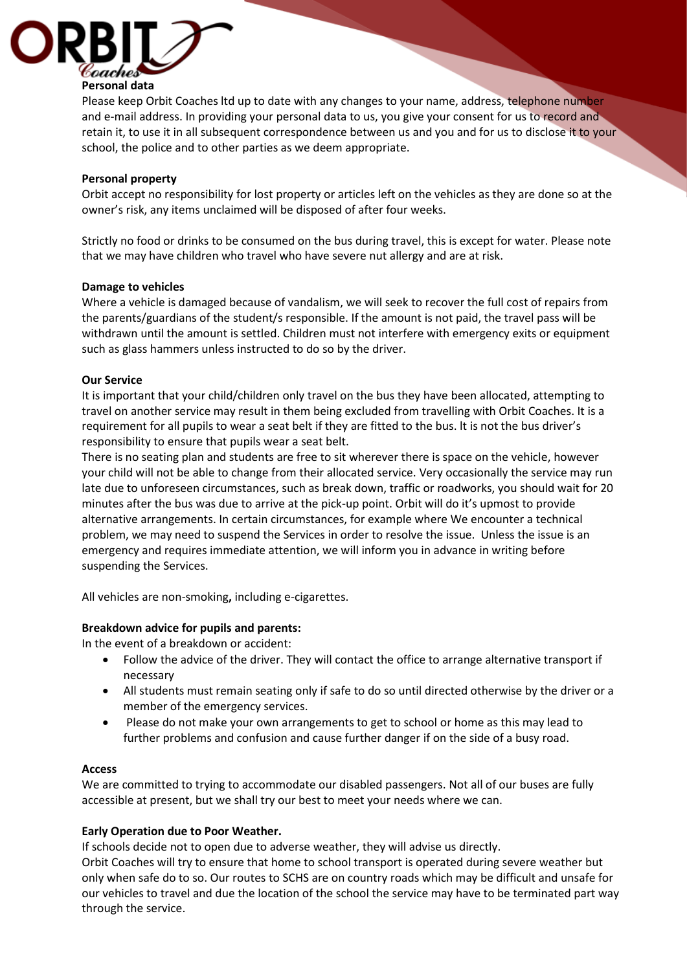

Please keep Orbit Coaches ltd up to date with any changes to your name, address, telephone number and e-mail address. In providing your personal data to us, you give your consent for us to record and retain it, to use it in all subsequent correspondence between us and you and for us to disclose it to your school, the police and to other parties as we deem appropriate.

# **Personal property**

Orbit accept no responsibility for lost property or articles left on the vehicles as they are done so at the owner's risk, any items unclaimed will be disposed of after four weeks.

Strictly no food or drinks to be consumed on the bus during travel, this is except for water. Please note that we may have children who travel who have severe nut allergy and are at risk.

#### **Damage to vehicles**

Where a vehicle is damaged because of vandalism, we will seek to recover the full cost of repairs from the parents/guardians of the student/s responsible. If the amount is not paid, the travel pass will be withdrawn until the amount is settled. Children must not interfere with emergency exits or equipment such as glass hammers unless instructed to do so by the driver.

## **Our Service**

It is important that your child/children only travel on the bus they have been allocated, attempting to travel on another service may result in them being excluded from travelling with Orbit Coaches. It is a requirement for all pupils to wear a seat belt if they are fitted to the bus. lt is not the bus driver's responsibility to ensure that pupils wear a seat belt.

There is no seating plan and students are free to sit wherever there is space on the vehicle, however your child will not be able to change from their allocated service. Very occasionally the service may run late due to unforeseen circumstances, such as break down, traffic or roadworks, you should wait for 20 minutes after the bus was due to arrive at the pick-up point. Orbit will do it's upmost to provide alternative arrangements. In certain circumstances, for example where We encounter a technical problem, we may need to suspend the Services in order to resolve the issue. Unless the issue is an emergency and requires immediate attention, we will inform you in advance in writing before suspending the Services.

All vehicles are non-smoking**,** including e-cigarettes.

# **Breakdown advice for pupils and parents:**

In the event of a breakdown or accident:

- Follow the advice of the driver. They will contact the office to arrange alternative transport if necessary
- All students must remain seating only if safe to do so until directed otherwise by the driver or a member of the emergency services.
- Please do not make your own arrangements to get to school or home as this may lead to further problems and confusion and cause further danger if on the side of a busy road.

#### **Access**

We are committed to trying to accommodate our disabled passengers. Not all of our buses are fully accessible at present, but we shall try our best to meet your needs where we can.

# **Early Operation due to Poor Weather.**

If schools decide not to open due to adverse weather, they will advise us directly.

Orbit Coaches will try to ensure that home to school transport is operated during severe weather but only when safe do to so. Our routes to SCHS are on country roads which may be difficult and unsafe for our vehicles to travel and due the location of the school the service may have to be terminated part way through the service.